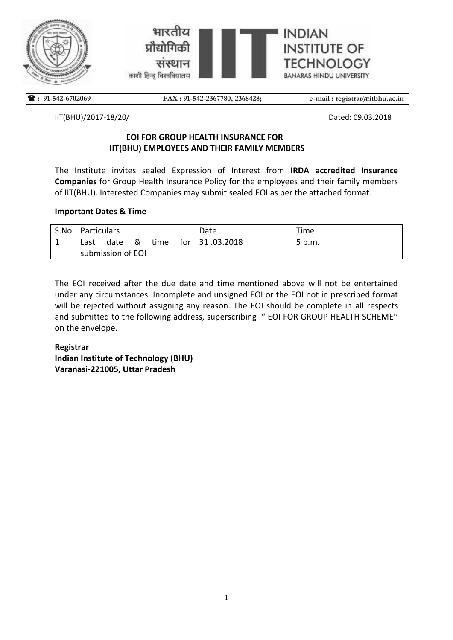



 **: 91-542-6702069** FAX : 91-542-2367780, 2368428; e-mail : registrar@itbhu.ac.in

IIT(BHU)/2017-18/20/ Dated: 09.03.2018

## **EOI FOR GROUP HEALTH INSURANCE FOR IIT(BHU) EMPLOYEES AND THEIR FAMILY MEMBERS**

The Institute invites sealed Expression of Interest from **IRDA accredited Insurance Companies** for Group Health Insurance Policy for the employees and their family members of IIT(BHU). Interested Companies may submit sealed EOI as per the attached format.

## **Important Dates & Time**

| S.No   Particulars |      |              |      | Date              | Time   |
|--------------------|------|--------------|------|-------------------|--------|
| Last               | date | <u>&amp;</u> | time | for $ 31.03.2018$ | 5 p.m. |
| submission of EOI  |      |              |      |                   |        |

The EOI received after the due date and time mentioned above will not be entertained under any circumstances. Incomplete and unsigned EOI or the EOI not in prescribed format will be rejected without assigning any reason. The EOI should be complete in all respects and submitted to the following address, superscribing " EOI FOR GROUP HEALTH SCHEME'' on the envelope.

# **Registrar Indian Institute of Technology (BHU) Varanasi-221005, Uttar Pradesh**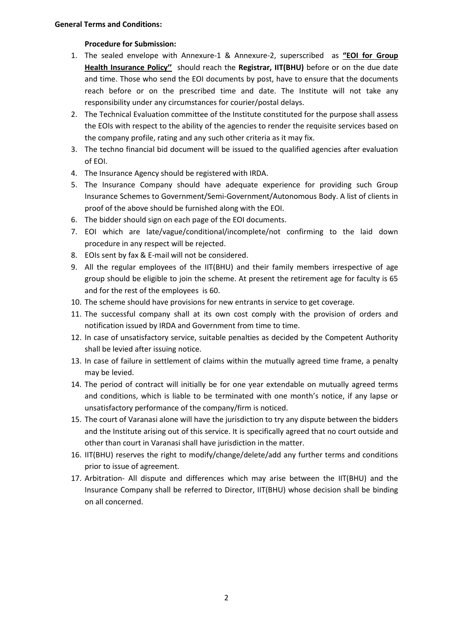#### **Procedure for Submission:**

- 1. The sealed envelope with Annexure-1 & Annexure-2, superscribed as **"EOI for Group Health Insurance Policy''** should reach the **Registrar, IIT(BHU)** before or on the due date and time. Those who send the EOI documents by post, have to ensure that the documents reach before or on the prescribed time and date. The Institute will not take any responsibility under any circumstances for courier/postal delays.
- 2. The Technical Evaluation committee of the Institute constituted for the purpose shall assess the EOIs with respect to the ability of the agencies to render the requisite services based on the company profile, rating and any such other criteria as it may fix.
- 3. The techno financial bid document will be issued to the qualified agencies after evaluation of EOI.
- 4. The Insurance Agency should be registered with IRDA.
- 5. The Insurance Company should have adequate experience for providing such Group Insurance Schemes to Government/Semi-Government/Autonomous Body. A list of clients in proof of the above should be furnished along with the EOI.
- 6. The bidder should sign on each page of the EOI documents.
- 7. EOI which are late/vague/conditional/incomplete/not confirming to the laid down procedure in any respect will be rejected.
- 8. EOIs sent by fax & E-mail will not be considered.
- 9. All the regular employees of the IIT(BHU) and their family members irrespective of age group should be eligible to join the scheme. At present the retirement age for faculty is 65 and for the rest of the employees is 60.
- 10. The scheme should have provisions for new entrants in service to get coverage.
- 11. The successful company shall at its own cost comply with the provision of orders and notification issued by IRDA and Government from time to time.
- 12. In case of unsatisfactory service, suitable penalties as decided by the Competent Authority shall be levied after issuing notice.
- 13. In case of failure in settlement of claims within the mutually agreed time frame, a penalty may be levied.
- 14. The period of contract will initially be for one year extendable on mutually agreed terms and conditions, which is liable to be terminated with one month's notice, if any lapse or unsatisfactory performance of the company/firm is noticed.
- 15. The court of Varanasi alone will have the jurisdiction to try any dispute between the bidders and the Institute arising out of this service. It is specifically agreed that no court outside and other than court in Varanasi shall have jurisdiction in the matter.
- 16. IIT(BHU) reserves the right to modify/change/delete/add any further terms and conditions prior to issue of agreement.
- 17. Arbitration- All dispute and differences which may arise between the IIT(BHU) and the Insurance Company shall be referred to Director, IIT(BHU) whose decision shall be binding on all concerned.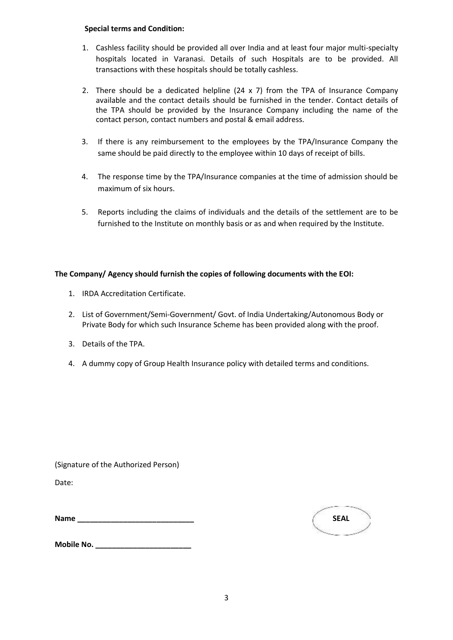#### **Special terms and Condition:**

- 1. Cashless facility should be provided all over India and at least four major multi-specialty hospitals located in Varanasi. Details of such Hospitals are to be provided. All transactions with these hospitals should be totally cashless.
- 2. There should be a dedicated helpline  $(24 \times 7)$  from the TPA of Insurance Company available and the contact details should be furnished in the tender. Contact details of the TPA should be provided by the Insurance Company including the name of the contact person, contact numbers and postal & email address.
- 3. If there is any reimbursement to the employees by the TPA/Insurance Company the same should be paid directly to the employee within 10 days of receipt of bills.
- 4. The response time by the TPA/Insurance companies at the time of admission should be maximum of six hours.
- 5. Reports including the claims of individuals and the details of the settlement are to be furnished to the Institute on monthly basis or as and when required by the Institute.

#### **The Company/ Agency should furnish the copies of following documents with the EOI:**

- 1. IRDA Accreditation Certificate.
- 2. List of Government/Semi-Government/ Govt. of India Undertaking/Autonomous Body or Private Body for which such Insurance Scheme has been provided along with the proof.
- 3. Details of the TPA.
- 4. A dummy copy of Group Health Insurance policy with detailed terms and conditions.

(Signature of the Authorized Person)

Date:

| Name | <b>SEAL</b> |
|------|-------------|
|      |             |



**Mobile No. \_\_\_\_\_\_\_\_\_\_\_\_\_\_\_\_\_\_\_\_\_\_\_**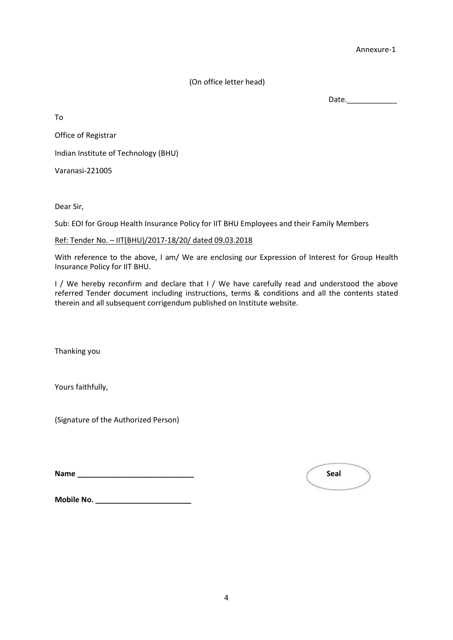Annexure-1

(On office letter head)

Date.\_\_\_\_\_\_\_\_\_\_\_\_

To

Office of Registrar

Indian Institute of Technology (BHU)

Varanasi-221005

Dear Sir,

Sub: EOI for Group Health Insurance Policy for IIT BHU Employees and their Family Members

Ref: Tender No. – IIT(BHU)/2017-18/20/ dated 09.03.2018

With reference to the above, I am/ We are enclosing our Expression of Interest for Group Health Insurance Policy for IIT BHU.

I / We hereby reconfirm and declare that I / We have carefully read and understood the above referred Tender document including instructions, terms & conditions and all the contents stated therein and all subsequent corrigendum published on Institute website.

Thanking you

Yours faithfully,

(Signature of the Authorized Person)

**Name \_\_\_\_\_\_\_\_\_\_\_\_\_\_\_\_\_\_\_\_\_\_\_\_\_\_\_\_ Seal** 

**Mobile No. \_\_\_\_\_\_\_\_\_\_\_\_\_\_\_\_\_\_\_\_\_\_\_**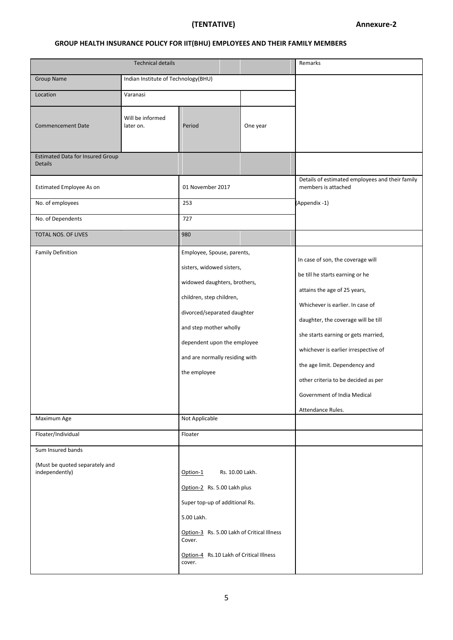# **(TENTATIVE) Annexure-2**

# **GROUP HEALTH INSURANCE POLICY FOR IIT(BHU) EMPLOYEES AND THEIR FAMILY MEMBERS**

|                                                                       | Remarks                             |                                                                                                                                                                                                                                                               |                                                                        |                                                                                                                                                                                                                                                                                                                                                                                            |
|-----------------------------------------------------------------------|-------------------------------------|---------------------------------------------------------------------------------------------------------------------------------------------------------------------------------------------------------------------------------------------------------------|------------------------------------------------------------------------|--------------------------------------------------------------------------------------------------------------------------------------------------------------------------------------------------------------------------------------------------------------------------------------------------------------------------------------------------------------------------------------------|
| <b>Group Name</b>                                                     | Indian Institute of Technology(BHU) |                                                                                                                                                                                                                                                               |                                                                        |                                                                                                                                                                                                                                                                                                                                                                                            |
| Location<br>Varanasi                                                  |                                     |                                                                                                                                                                                                                                                               |                                                                        |                                                                                                                                                                                                                                                                                                                                                                                            |
| <b>Commencement Date</b>                                              | Will be informed<br>later on.       | Period                                                                                                                                                                                                                                                        | One year                                                               |                                                                                                                                                                                                                                                                                                                                                                                            |
| <b>Estimated Data for Insured Group</b><br><b>Details</b>             |                                     |                                                                                                                                                                                                                                                               |                                                                        |                                                                                                                                                                                                                                                                                                                                                                                            |
| Estimated Employee As on                                              | 01 November 2017                    |                                                                                                                                                                                                                                                               | Details of estimated employees and their family<br>members is attached |                                                                                                                                                                                                                                                                                                                                                                                            |
| No. of employees                                                      |                                     | 253                                                                                                                                                                                                                                                           |                                                                        | (Appendix -1)                                                                                                                                                                                                                                                                                                                                                                              |
| No. of Dependents                                                     |                                     | 727                                                                                                                                                                                                                                                           |                                                                        |                                                                                                                                                                                                                                                                                                                                                                                            |
| TOTAL NOS. OF LIVES                                                   |                                     | 980                                                                                                                                                                                                                                                           |                                                                        |                                                                                                                                                                                                                                                                                                                                                                                            |
| <b>Family Definition</b>                                              |                                     | Employee, Spouse, parents,<br>sisters, widowed sisters,<br>widowed daughters, brothers,<br>children, step children,<br>divorced/separated daughter<br>and step mother wholly<br>dependent upon the employee<br>and are normally residing with<br>the employee |                                                                        | In case of son, the coverage will<br>be till he starts earning or he<br>attains the age of 25 years,<br>Whichever is earlier. In case of<br>daughter, the coverage will be till<br>she starts earning or gets married,<br>whichever is earlier irrespective of<br>the age limit. Dependency and<br>other criteria to be decided as per<br>Government of India Medical<br>Attendance Rules. |
| Maximum Age                                                           |                                     | Not Applicable                                                                                                                                                                                                                                                |                                                                        |                                                                                                                                                                                                                                                                                                                                                                                            |
| Floater/Individual                                                    | Floater                             |                                                                                                                                                                                                                                                               |                                                                        |                                                                                                                                                                                                                                                                                                                                                                                            |
| Sum Insured bands<br>(Must be quoted separately and<br>independently) |                                     | Option-1<br>Option-2 Rs. 5.00 Lakh plus<br>Super top-up of additional Rs.<br>5.00 Lakh.<br>Option-3 Rs. 5.00 Lakh of Critical Illness<br>Cover.<br>Option-4 Rs.10 Lakh of Critical Illness<br>cover.                                                          | Rs. 10.00 Lakh.                                                        |                                                                                                                                                                                                                                                                                                                                                                                            |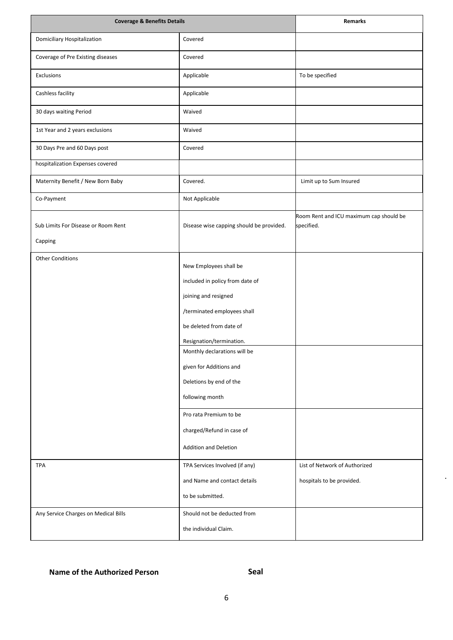| <b>Coverage &amp; Benefits Details</b>             | <b>Remarks</b>                                                                                                                                                                                                                                                                                                                                                   |                                                            |
|----------------------------------------------------|------------------------------------------------------------------------------------------------------------------------------------------------------------------------------------------------------------------------------------------------------------------------------------------------------------------------------------------------------------------|------------------------------------------------------------|
| <b>Domiciliary Hospitalization</b>                 | Covered                                                                                                                                                                                                                                                                                                                                                          |                                                            |
| Coverage of Pre Existing diseases                  | Covered                                                                                                                                                                                                                                                                                                                                                          |                                                            |
| Exclusions                                         | Applicable                                                                                                                                                                                                                                                                                                                                                       | To be specified                                            |
| Cashless facility                                  | Applicable                                                                                                                                                                                                                                                                                                                                                       |                                                            |
| 30 days waiting Period                             | Waived                                                                                                                                                                                                                                                                                                                                                           |                                                            |
| 1st Year and 2 years exclusions                    | Waived                                                                                                                                                                                                                                                                                                                                                           |                                                            |
| 30 Days Pre and 60 Days post                       | Covered                                                                                                                                                                                                                                                                                                                                                          |                                                            |
| hospitalization Expenses covered                   |                                                                                                                                                                                                                                                                                                                                                                  |                                                            |
| Maternity Benefit / New Born Baby                  | Covered.                                                                                                                                                                                                                                                                                                                                                         | Limit up to Sum Insured                                    |
| Co-Payment                                         | Not Applicable                                                                                                                                                                                                                                                                                                                                                   |                                                            |
| Sub Limits For Disease or Room Rent<br>Capping     | Disease wise capping should be provided.                                                                                                                                                                                                                                                                                                                         | Room Rent and ICU maximum cap should be<br>specified.      |
| <b>Other Conditions</b>                            | New Employees shall be<br>included in policy from date of<br>joining and resigned<br>/terminated employees shall<br>be deleted from date of<br>Resignation/termination.<br>Monthly declarations will be<br>given for Additions and<br>Deletions by end of the<br>following month<br>Pro rata Premium to be<br>charged/Refund in case of<br>Addition and Deletion |                                                            |
| <b>TPA</b><br>Any Service Charges on Medical Bills | TPA Services Involved (if any)<br>and Name and contact details<br>to be submitted.<br>Should not be deducted from<br>the individual Claim.                                                                                                                                                                                                                       | List of Network of Authorized<br>hospitals to be provided. |
|                                                    |                                                                                                                                                                                                                                                                                                                                                                  |                                                            |

## **Name of the Authorized Person**

## **Seal**

 $\ddot{\phantom{a}}$